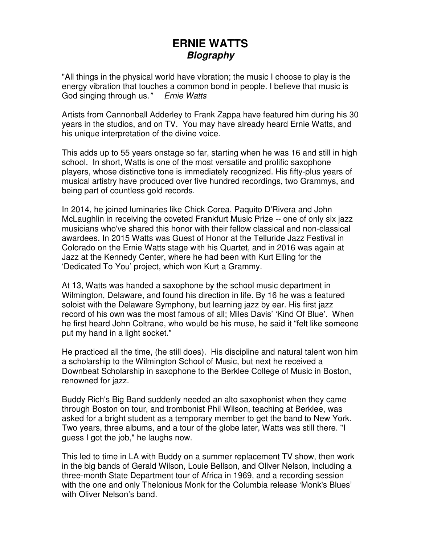# **ERNIE WATTS Biography**

"All things in the physical world have vibration; the music I choose to play is the energy vibration that touches a common bond in people. I believe that music is God singing through us." Ernie Watts

Artists from Cannonball Adderley to Frank Zappa have featured him during his 30 years in the studios, and on TV. You may have already heard Ernie Watts, and his unique interpretation of the divine voice.

This adds up to 55 years onstage so far, starting when he was 16 and still in high school. In short, Watts is one of the most versatile and prolific saxophone players, whose distinctive tone is immediately recognized. His fifty-plus years of musical artistry have produced over five hundred recordings, two Grammys, and being part of countless gold records.

In 2014, he joined luminaries like Chick Corea, Paquito D'Rivera and John McLaughlin in receiving the coveted Frankfurt Music Prize -- one of only six jazz musicians who've shared this honor with their fellow classical and non-classical awardees. In 2015 Watts was Guest of Honor at the Telluride Jazz Festival in Colorado on the Ernie Watts stage with his Quartet, and in 2016 was again at Jazz at the Kennedy Center, where he had been with Kurt Elling for the 'Dedicated To You' project, which won Kurt a Grammy.

At 13, Watts was handed a saxophone by the school music department in Wilmington, Delaware, and found his direction in life. By 16 he was a featured soloist with the Delaware Symphony, but learning jazz by ear. His first jazz record of his own was the most famous of all; Miles Davis' 'Kind Of Blue'. When he first heard John Coltrane, who would be his muse, he said it "felt like someone put my hand in a light socket."

He practiced all the time, (he still does). His discipline and natural talent won him a scholarship to the Wilmington School of Music, but next he received a Downbeat Scholarship in saxophone to the Berklee College of Music in Boston, renowned for jazz.

Buddy Rich's Big Band suddenly needed an alto saxophonist when they came through Boston on tour, and trombonist Phil Wilson, teaching at Berklee, was asked for a bright student as a temporary member to get the band to New York. Two years, three albums, and a tour of the globe later, Watts was still there. "I guess I got the job," he laughs now.

This led to time in LA with Buddy on a summer replacement TV show, then work in the big bands of Gerald Wilson, Louie Bellson, and Oliver Nelson, including a three-month State Department tour of Africa in 1969, and a recording session with the one and only Thelonious Monk for the Columbia release 'Monk's Blues' with Oliver Nelson's band.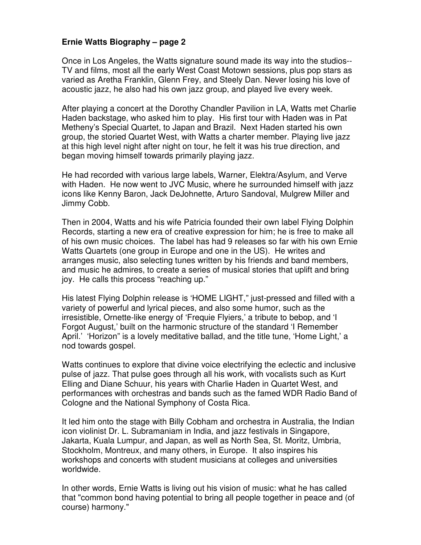## **Ernie Watts Biography – page 2**

Once in Los Angeles, the Watts signature sound made its way into the studios-- TV and films, most all the early West Coast Motown sessions, plus pop stars as varied as Aretha Franklin, Glenn Frey, and Steely Dan. Never losing his love of acoustic jazz, he also had his own jazz group, and played live every week.

After playing a concert at the Dorothy Chandler Pavilion in LA, Watts met Charlie Haden backstage, who asked him to play. His first tour with Haden was in Pat Metheny's Special Quartet, to Japan and Brazil. Next Haden started his own group, the storied Quartet West, with Watts a charter member. Playing live jazz at this high level night after night on tour, he felt it was his true direction, and began moving himself towards primarily playing jazz.

He had recorded with various large labels, Warner, Elektra/Asylum, and Verve with Haden. He now went to JVC Music, where he surrounded himself with jazz icons like Kenny Baron, Jack DeJohnette, Arturo Sandoval, Mulgrew Miller and Jimmy Cobb.

Then in 2004, Watts and his wife Patricia founded their own label Flying Dolphin Records, starting a new era of creative expression for him; he is free to make all of his own music choices. The label has had 9 releases so far with his own Ernie Watts Quartets (one group in Europe and one in the US). He writes and arranges music, also selecting tunes written by his friends and band members, and music he admires, to create a series of musical stories that uplift and bring joy. He calls this process "reaching up."

His latest Flying Dolphin release is 'HOME LIGHT," just-pressed and filled with a variety of powerful and lyrical pieces, and also some humor, such as the irresistible, Ornette-like energy of 'Frequie Flyiers,' a tribute to bebop, and 'I Forgot August,' built on the harmonic structure of the standard 'I Remember April.' 'Horizon" is a lovely meditative ballad, and the title tune, 'Home Light,' a nod towards gospel.

Watts continues to explore that divine voice electrifying the eclectic and inclusive pulse of jazz. That pulse goes through all his work, with vocalists such as Kurt Elling and Diane Schuur, his years with Charlie Haden in Quartet West, and performances with orchestras and bands such as the famed WDR Radio Band of Cologne and the National Symphony of Costa Rica.

It led him onto the stage with Billy Cobham and orchestra in Australia, the Indian icon violinist Dr. L. Subramaniam in India, and jazz festivals in Singapore, Jakarta, Kuala Lumpur, and Japan, as well as North Sea, St. Moritz, Umbria, Stockholm, Montreux, and many others, in Europe. It also inspires his workshops and concerts with student musicians at colleges and universities worldwide.

In other words, Ernie Watts is living out his vision of music: what he has called that "common bond having potential to bring all people together in peace and (of course) harmony."